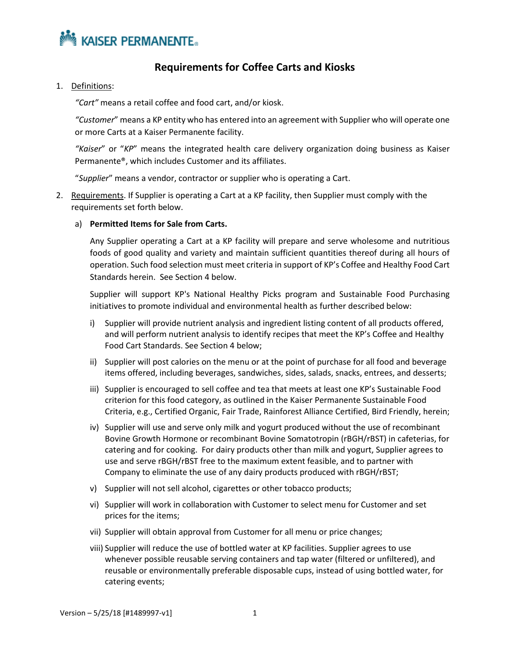

## **Requirements for Coffee Carts and Kiosks**

1. Definitions:

*"Cart"* means a retail coffee and food cart, and/or kiosk.

*"Customer*" means a KP entity who has entered into an agreement with Supplier who will operate one or more Carts at a Kaiser Permanente facility.

*"Kaiser*" or "*KP*" means the integrated health care delivery organization doing business as Kaiser Permanente®, which includes Customer and its affiliates.

"*Supplier*" means a vendor, contractor or supplier who is operating a Cart.

- 2. Requirements. If Supplier is operating a Cart at a KP facility, then Supplier must comply with the requirements set forth below.
	- a) **Permitted Items for Sale from Carts.**

Any Supplier operating a Cart at a KP facility will prepare and serve wholesome and nutritious foods of good quality and variety and maintain sufficient quantities thereof during all hours of operation. Such food selection must meet criteria in support of KP's Coffee and Healthy Food Cart Standards herein. See Section 4 below.

Supplier will support KP's National Healthy Picks program and Sustainable Food Purchasing initiatives to promote individual and environmental health as further described below:

- i) Supplier will provide nutrient analysis and ingredient listing content of all products offered, and will perform nutrient analysis to identify recipes that meet the KP's Coffee and Healthy Food Cart Standards. See Section 4 below;
- ii) Supplier will post calories on the menu or at the point of purchase for all food and beverage items offered, including beverages, sandwiches, sides, salads, snacks, entrees, and desserts;
- iii) Supplier is encouraged to sell coffee and tea that meets at least one KP's Sustainable Food criterion for this food category, as outlined in the Kaiser Permanente Sustainable Food Criteria, e.g., Certified Organic, Fair Trade, Rainforest Alliance Certified, Bird Friendly, herein;
- iv) Supplier will use and serve only milk and yogurt produced without the use of recombinant Bovine Growth Hormone or recombinant Bovine Somatotropin (rBGH/rBST) in cafeterias, for catering and for cooking. For dairy products other than milk and yogurt, Supplier agrees to use and serve rBGH/rBST free to the maximum extent feasible, and to partner with Company to eliminate the use of any dairy products produced with rBGH/rBST;
- v) Supplier will not sell alcohol, cigarettes or other tobacco products;
- vi) Supplier will work in collaboration with Customer to select menu for Customer and set prices for the items;
- vii) Supplier will obtain approval from Customer for all menu or price changes;
- viii) Supplier will reduce the use of bottled water at KP facilities. Supplier agrees to use whenever possible reusable serving containers and tap water (filtered or unfiltered), and reusable or environmentally preferable disposable cups, instead of using bottled water, for catering events;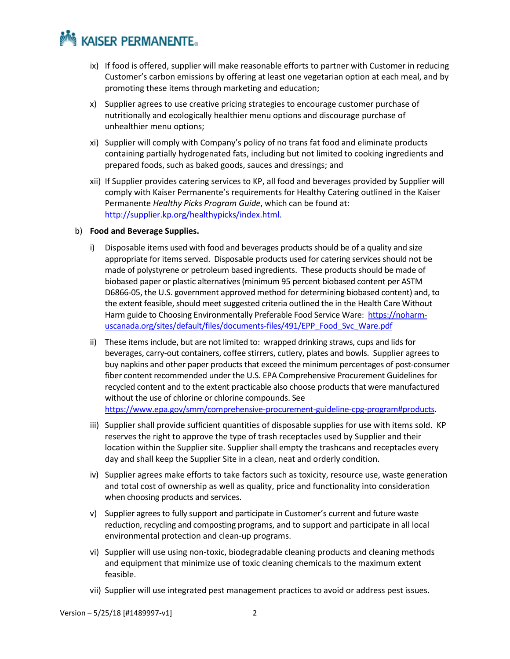# **MAISER PERMANENTE.**

- ix) If food is offered, supplier will make reasonable efforts to partner with Customer in reducing Customer's carbon emissions by offering at least one vegetarian option at each meal, and by promoting these items through marketing and education;
- x) Supplier agrees to use creative pricing strategies to encourage customer purchase of nutritionally and ecologically healthier menu options and discourage purchase of unhealthier menu options;
- xi) Supplier will comply with Company's policy of no trans fat food and eliminate products containing partially hydrogenated fats, including but not limited to cooking ingredients and prepared foods, such as baked goods, sauces and dressings; and
- xii) If Supplier provides catering services to KP, all food and beverages provided by Supplier will comply with Kaiser Permanente's requirements for Healthy Catering outlined in the Kaiser Permanente *Healthy Picks Program Guide*, which can be found at: [http://supplier.kp.org/healthypicks/index.html.](http://supplier.kp.org/healthypicks/index.html)
- b) **Food and Beverage Supplies.**
	- i) Disposable items used with food and beverages products should be of a quality and size appropriate for items served. Disposable products used for catering services should not be made of polystyrene or petroleum based ingredients. These products should be made of biobased paper or plastic alternatives (minimum 95 percent biobased content per ASTM D6866-05, the U.S. government approved method for determining biobased content) and, to the extent feasible, should meet suggested criteria outlined the in the Health Care Without Harm guide to Choosing Environmentally Preferable Food Service Ware: [https://noharm](https://noharm-uscanada.org/sites/default/files/documents-files/491/EPP_Food_Svc_Ware.pdf)[uscanada.org/sites/default/files/documents-files/491/EPP\\_Food\\_Svc\\_Ware.pdf](https://noharm-uscanada.org/sites/default/files/documents-files/491/EPP_Food_Svc_Ware.pdf)
	- ii) These items include, but are not limited to: wrapped drinking straws, cups and lids for beverages, carry-out containers, coffee stirrers, cutlery, plates and bowls. Supplier agrees to buy napkins and other paper products that exceed the minimum percentages of post-consumer fiber content recommended under the U.S. EPA Comprehensive Procurement Guidelines for recycled content and to the extent practicable also choose products that were manufactured without the use of chlorine or chlorine compounds. See [https://www.epa.gov/smm/comprehensive-procurement-guideline-cpg-program#products.](https://www.epa.gov/smm/comprehensive-procurement-guideline-cpg-program#products)
	- iii) Supplier shall provide sufficient quantities of disposable supplies for use with items sold. KP reserves the right to approve the type of trash receptacles used by Supplier and their location within the Supplier site. Supplier shall empty the trashcans and receptacles every day and shall keep the Supplier Site in a clean, neat and orderly condition.
	- iv) Supplier agrees make efforts to take factors such as toxicity, resource use, waste generation and total cost of ownership as well as quality, price and functionality into consideration when choosing products and services.
	- v) Supplier agrees to fully support and participate in Customer's current and future waste reduction, recycling and composting programs, and to support and participate in all local environmental protection and clean-up programs.
	- vi) Supplier will use using non-toxic, biodegradable cleaning products and cleaning methods and equipment that minimize use of toxic cleaning chemicals to the maximum extent feasible.
	- vii) Supplier will use integrated pest management practices to avoid or address pest issues.